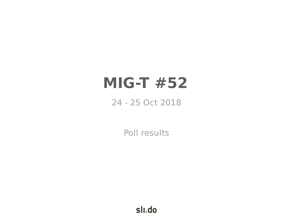# **MIG-T #52**

# 24 - 25 Oct 2018

Poll results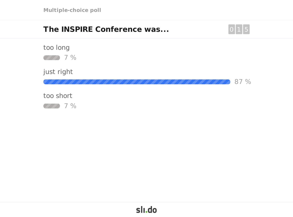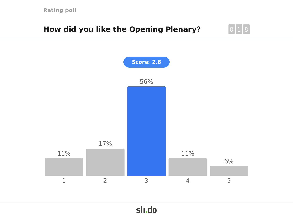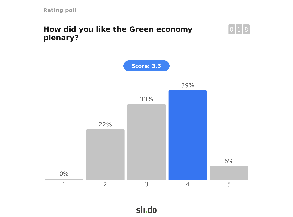# **How did you like the Green economy plenary?**



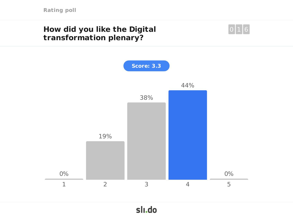# **How did you like the Digital transformation plenary?**



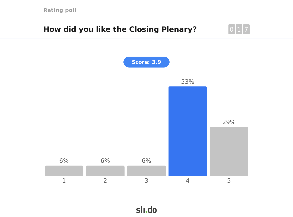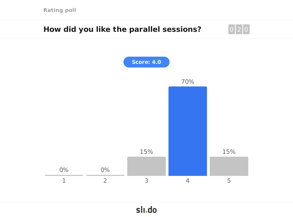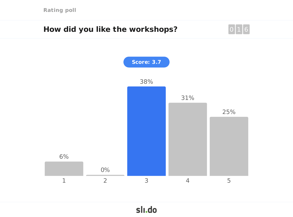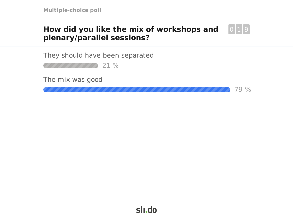#### **How did you like the mix of workshops and plenary/parallel sessions?**  $\Omega$

They should have been separated

21 %

The mix was good

79 %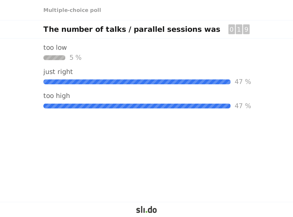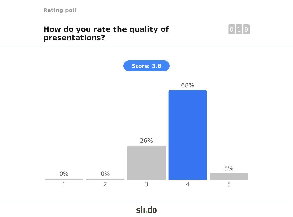# **How do you rate the quality of presentations?**



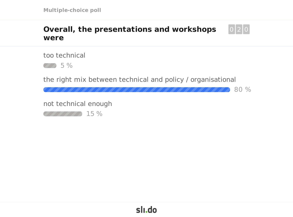#### **Overall, the presentations and workshops were** 0 2 0

too technical



the right mix between technical and policy / organisational

80 %

not technical enough